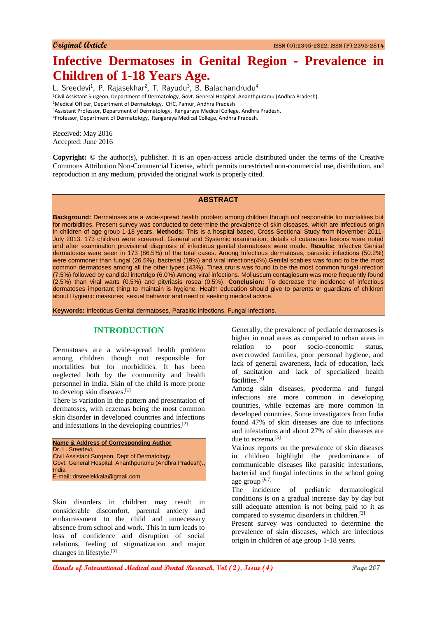# **Infective Dermatoses in Genital Region - Prevalence in Children of 1-18 Years Age.**

L. Sreedevi<sup>1</sup>, P. Rajasekhar<sup>2</sup>, T. Rayudu<sup>3</sup>, B. Balachandrudu<sup>4</sup> Civil Assistant Surgeon, Department of Dermatology, Govt. General Hospital, Ananthpuramu (Andhra Pradesh). Medical Officer, Department of Dermatology, CHC, Pamur, Andhra Pradesh Assistant Professor, Department of Dermatology, Rangaraya Medical College, Andhra Pradesh. Professor, Department of Dermatology, Rangaraya Medical College, Andhra Pradesh.

Received: May 2016 Accepted: June 2016

**Copyright:** © the author(s), publisher. It is an open-access article distributed under the terms of the Creative Commons Attribution Non-Commercial License, which permits unrestricted non-commercial use, distribution, and reproduction in any medium, provided the original work is properly cited.

## **ABSTRACT**

**Background:** Dermatoses are a wide-spread health problem among children though not responsible for mortalities but for morbidities. Present survey was conducted to determine the prevalence of skin diseases, which are infectious origin in children of age group 1-18 years. **Methods:** This is a hospital based, Cross Sectional Study from November 2011- July 2013. 173 children were screened, General and Systemic examination, details of cutaneous lesions were noted and after examination provisional diagnosis of infectious genital dermatoses were made. **Results:** Infective Genital dermatoses were seen in 173 (86.5%) of the total cases. Among Infectious dermatoses, parasitic infections (50.2%) were commoner than fungal (26.5%), bacterial (19%) and viral infections(4%).Genital scabies was found to be the most common dermatoses among all the other types (43%). Tinea cruris was found to be the most common fungal infection (7.5%) followed by candidal intertrigo (6.0%).Among viral infections. Molluscum contagiosum was more frequently found (2.5%) than viral warts (0.5%) and pityriasis rosea (0.5%). **Conclusion:** To decrease the incidence of infectious dermatoses important thing to maintain is hygiene. Health education should give to parents or guardians of children about Hygienic measures, sexual behavior and need of seeking medical advice.

**Keywords:** Infectious Genital dermatoses, Parasitic infections, Fungal infections.

## **INTRODUCTION**

Dermatoses are a wide-spread health problem among children though not responsible for mortalities but for morbidities. It has been neglected both by the community and health personnel in India. Skin of the child is more prone to develop skin diseases.[1]

There is variation in the pattern and presentation of dermatoses, with eczemas being the most common skin disorder in developed countries and infections and infestations in the developing countries.[2]

| <b>Name &amp; Address of Corresponding Author</b>       |
|---------------------------------------------------------|
| Dr. L. Sreedevi.                                        |
| Civil Assistant Surgeon, Dept of Dermatology,           |
| Govt. General Hospital, Ananthpuramu (Andhra Pradesh)., |
| India                                                   |
| E-mail: drsreelekkala@gmail.com                         |

Skin disorders in children may result in considerable discomfort, parental anxiety and embarrassment to the child and unnecessary absence from school and work. This in turn leads to loss of confidence and disruption of social relations, feeling of stigmatization and major changes in lifestyle.[3]

Generally, the prevalence of pediatric dermatoses is higher in rural areas as compared to urban areas in relation to poor socio-economic status, overcrowded families, poor personal hygiene, and lack of general awareness, lack of education, lack of sanitation and lack of specialized health facilities.[4]

Among skin diseases, pyoderma and fungal infections are more common in developing countries, while eczemas are more common in developed countries. Some investigators from India found 47% of skin diseases are due to infections and infestations and about 27% of skin diseases are due to eczema.<sup>[5]</sup>

Various reports on the prevalence of skin diseases in children highlight the predominance of communicable diseases like parasitic infestations, bacterial and fungal infections in the school going age group  $[6,7]$ 

The incidence of pediatric dermatological conditions is on a gradual increase day by day but still adequate attention is not being paid to it as compared to systemic disorders in children.[2]

Present survey was conducted to determine the prevalence of skin diseases, which are infectious origin in children of age group 1-18 years.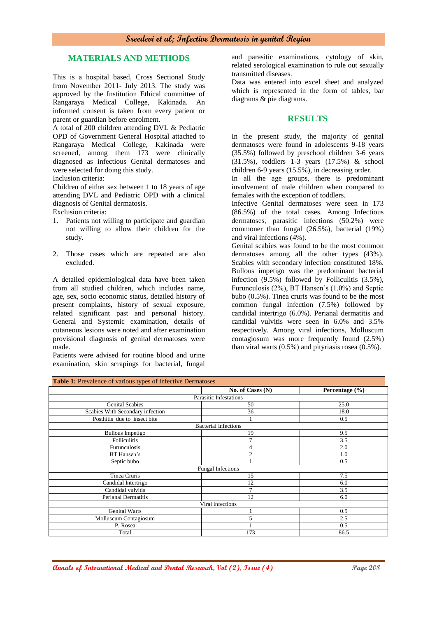## **MATERIALS AND METHODS**

This is a hospital based, Cross Sectional Study from November 2011- July 2013. The study was approved by the Institution Ethical committee of Rangaraya Medical College, Kakinada. An informed consent is taken from every patient or parent or guardian before enrolment.

A total of 200 children attending DVL & Pediatric OPD of Government General Hospital attached to Rangaraya Medical College, Kakinada were screened, among them 173 were clinically diagnosed as infectious Genital dermatoses and were selected for doing this study.

Inclusion criteria:

Children of either sex between 1 to 18 years of age attending DVL and Pediatric OPD with a clinical diagnosis of Genital dermatosis.

Exclusion criteria:

- 1. Patients not willing to participate and guardian not willing to allow their children for the study.
- 2. Those cases which are repeated are also excluded.

A detailed epidemiological data have been taken from all studied children, which includes name, age, sex, socio economic status, detailed history of present complaints, history of sexual exposure, related significant past and personal history. General and Systemic examination, details of cutaneous lesions were noted and after examination provisional diagnosis of genital dermatoses were made.

Patients were advised for routine blood and urine examination, skin scrapings for bacterial, fungal and parasitic examinations, cytology of skin, related serological examination to rule out sexually transmitted diseases.

Data was entered into excel sheet and analyzed which is represented in the form of tables, bar diagrams & pie diagrams.

### **RESULTS**

In the present study, the majority of genital dermatoses were found in adolescents 9-18 years (35.5%) followed by preschool children 3-6 years (31.5%), toddlers 1-3 years (17.5%) & school children 6-9 years (15.5%), in decreasing order.

In all the age groups, there is predominant involvement of male children when compared to females with the exception of toddlers.

Infective Genital dermatoses were seen in 173 (86.5%) of the total cases. Among Infectious dermatoses, parasitic infections (50.2%) were commoner than fungal (26.5%), bacterial (19%) and viral infections (4%).

Genital scabies was found to be the most common dermatoses among all the other types (43%). Scabies with secondary infection constituted 18%. Bullous impetigo was the predominant bacterial infection (9.5%) followed by Folliculitis (3.5%), Furunculosis (2%), BT Hansen's (1.0%) and Septic bubo (0.5%). Tinea cruris was found to be the most common fungal infection (7.5%) followed by candidal intertrigo (6.0%). Perianal dermatitis and candidal vulvitis were seen in 6.0% and 3.5% respectively. Among viral infections, Molluscum contagiosum was more frequently found (2.5%) than viral warts (0.5%) and pityriasis rosea (0.5%).

| Table 1: Prevalence of various types of Infective Dermatoses |                             |                    |  |  |  |  |  |  |
|--------------------------------------------------------------|-----------------------------|--------------------|--|--|--|--|--|--|
|                                                              | No. of Cases (N)            | Percentage $(\% )$ |  |  |  |  |  |  |
|                                                              | Parasitic Infestations      |                    |  |  |  |  |  |  |
| <b>Genital Scabies</b>                                       | 50                          | 25.0               |  |  |  |  |  |  |
| Scabies With Secondary infection                             | 36                          | 18.0               |  |  |  |  |  |  |
| Posthitis due to insect bite                                 |                             | 0.5                |  |  |  |  |  |  |
|                                                              | <b>Bacterial Infections</b> |                    |  |  |  |  |  |  |
| <b>Bullous Impetigo</b>                                      | 19                          | 9.5                |  |  |  |  |  |  |
| <b>Folliculitis</b>                                          | $\overline{7}$              | 3.5                |  |  |  |  |  |  |
| Furunculosis                                                 | $\overline{4}$              | 2.0                |  |  |  |  |  |  |
| BT Hansen's                                                  | $\overline{2}$              | 1.0                |  |  |  |  |  |  |
| Septic bubo                                                  |                             | 0.5                |  |  |  |  |  |  |
|                                                              | <b>Fungal Infections</b>    |                    |  |  |  |  |  |  |
| Tinea Cruris                                                 | 15                          | 7.5                |  |  |  |  |  |  |
| Candidal Intertrigo                                          | 12                          | 6.0                |  |  |  |  |  |  |
| Candidal vulvitis                                            | $\overline{7}$              | 3.5                |  |  |  |  |  |  |
| Perianal Dermatitis                                          | 12                          | 6.0                |  |  |  |  |  |  |
|                                                              | Viral infections            |                    |  |  |  |  |  |  |
| <b>Genital Warts</b>                                         |                             | 0.5                |  |  |  |  |  |  |
| Molluscum Contagiosum                                        | 5                           | 2.5                |  |  |  |  |  |  |
| P. Rosea                                                     |                             | 0.5                |  |  |  |  |  |  |
| Total                                                        | 173                         | 86.5               |  |  |  |  |  |  |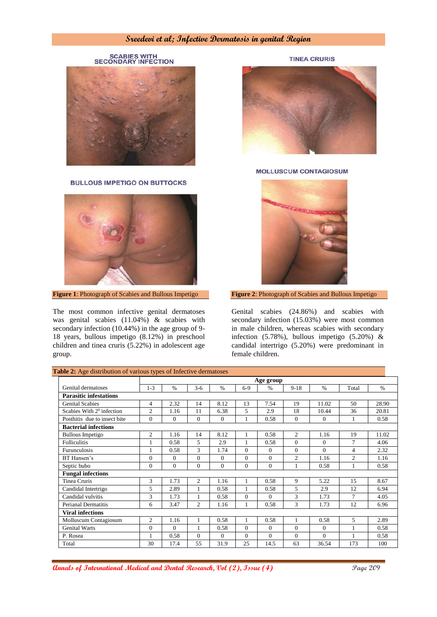SCABIES WITH<br>SECONDARY INFECTION

**BULLOUS IMPETIGO ON BUTTOCKS** 



**Figure 1**: Photograph of Scabies and Bullous Impetigo

The most common infective genital dermatoses was genital scabies (11.04%) & scabies with secondary infection (10.44%) in the age group of 9- 18 years, bullous impetigo (8.12%) in preschool children and tinea cruris (5.22%) in adolescent age group.



**MOLLUSCUM CONTAGIOSUM** 



**Figure 2**: Photograph of Scabies and Bullous Impetigo

Genital scabies (24.86%) and scabies with secondary infection (15.03%) were most common in male children, whereas scabies with secondary infection (5.78%), bullous impetigo (5.20%) & candidal intertrigo (5.20%) were predominant in female children.

| able 2: Age distribution of various types of Infective dermatoses |              |               |                |              |          |          |                |          |                |       |
|-------------------------------------------------------------------|--------------|---------------|----------------|--------------|----------|----------|----------------|----------|----------------|-------|
|                                                                   |              |               |                | Age group    |          |          |                |          |                |       |
| Genital dermatoses                                                | $1 - 3$      | $\frac{0}{6}$ | $3-6$          | $\%$         | $6-9$    | $\%$     | $9-18$         | $\%$     | Total          | $\%$  |
| <b>Parasitic infestations</b>                                     |              |               |                |              |          |          |                |          |                |       |
| <b>Genital Scabies</b>                                            | 4            | 2.32          | 14             | 8.12         | 13       | 7.54     | 19             | 11.02    | 50             | 28.90 |
| Scabies With $20$ infection                                       | 2            | 1.16          | 11             | 6.38         | $\sim$   | 2.9      | 18             | 10.44    | 36             | 20.81 |
| Posthitis due to insect bite                                      | $\Omega$     | $\Omega$      | $\Omega$       | $\mathbf{0}$ | 1        | 0.58     | $\mathbf{0}$   | $\Omega$ | 1              | 0.58  |
| <b>Bacterial infections</b>                                       |              |               |                |              |          |          |                |          |                |       |
| <b>Bullous Impetigo</b>                                           | 2            | 1.16          | 14             | 8.12         | 1        | 0.58     | $\mathfrak{2}$ | 1.16     | 19             | 11.02 |
| <b>Folliculitis</b>                                               | 1            | 0.58          | 5.             | 2.9          | 1        | 0.58     | $\Omega$       | $\Omega$ | 7              | 4.06  |
| <b>Furunculosis</b>                                               | $\mathbf{1}$ | 0.58          | 3              | 1.74         | $\Omega$ | $\Omega$ | $\Omega$       | $\Omega$ | $\overline{4}$ | 2.32  |
| BT Hansen's                                                       | $\Omega$     | $\Omega$      | $\theta$       | $\Omega$     | $\Omega$ | $\Omega$ | $\mathfrak{2}$ | 1.16     | 2              | 1.16  |
| Septic bubo                                                       | $\Omega$     | $\Omega$      | $\theta$       | $\Omega$     | $\Omega$ | $\Omega$ | $\mathbf{1}$   | 0.58     |                | 0.58  |
| <b>Fungal infections</b>                                          |              |               |                |              |          |          |                |          |                |       |
| Tinea Cruris                                                      | 3            | 1.73          | $\overline{c}$ | 1.16         |          | 0.58     | 9              | 5.22     | 15             | 8.67  |
| Candidal Intertrigo                                               | 5            | 2.89          | 1              | 0.58         | 1        | 0.58     | 5              | 2.9      | 12             | 6.94  |
| Candidal vulvitis                                                 | 3            | 1.73          | 1              | 0.58         | $\Omega$ | $\Omega$ | 3              | 1.73     | 7              | 4.05  |
| <b>Perianal Dermatitis</b>                                        | 6            | 3.47          | 2              | 1.16         | 1        | 0.58     | 3              | 1.73     | 12             | 6.96  |
| <b>Viral infections</b>                                           |              |               |                |              |          |          |                |          |                |       |
| Molluscum Contagiosum                                             | 2            | 1.16          | 1              | 0.58         | 1        | 0.58     | $\mathbf{1}$   | 0.58     | 5              | 2.89  |
| <b>Genital Warts</b>                                              | $\Omega$     | $\Omega$      | 1              | 0.58         | $\Omega$ | $\Omega$ | $\Omega$       | $\Omega$ |                | 0.58  |
| P. Rosea                                                          | $\mathbf{1}$ | 0.58          | $\Omega$       | $\Omega$     | $\Omega$ | $\Omega$ | $\Omega$       | $\Omega$ |                | 0.58  |
| Total                                                             | 30           | 17.4          | 55             | 31.9         | 25       | 14.5     | 63             | 36.54    | 173            | 100   |

**Table 2:** Age distribution of various types of Infective dermatoses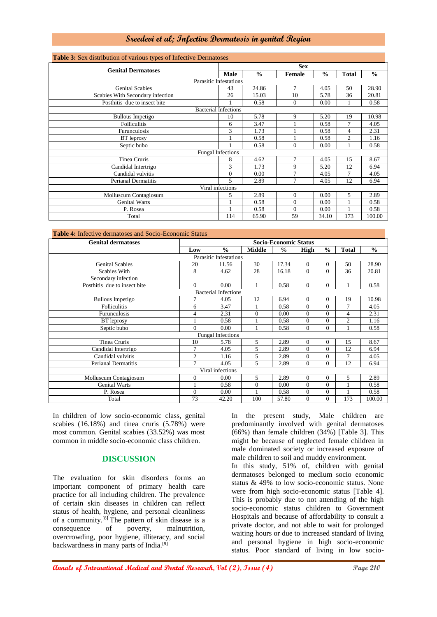| <b>Table 3:</b> Sex distribution of various types of Infective Dermatoses |                             |               |                |               |                |               |  |  |  |
|---------------------------------------------------------------------------|-----------------------------|---------------|----------------|---------------|----------------|---------------|--|--|--|
| <b>Genital Dermatoses</b>                                                 | <b>Sex</b>                  |               |                |               |                |               |  |  |  |
|                                                                           |                             | $\frac{6}{6}$ | Female         | $\frac{0}{0}$ | Total          | $\frac{0}{0}$ |  |  |  |
| <b>Parasitic Infestations</b>                                             |                             |               |                |               |                |               |  |  |  |
| <b>Genital Scabies</b>                                                    | 43                          | 24.86         | $\tau$         | 4.05          | 50             | 28.90         |  |  |  |
| Scabies With Secondary infection                                          | 26                          | 15.03         | 10             | 5.78          | 36             | 20.81         |  |  |  |
| Posthitis due to insect bite                                              |                             | 0.58          | $\mathbf{0}$   | 0.00          | 1              | 0.58          |  |  |  |
|                                                                           | <b>Bacterial Infections</b> |               |                |               |                |               |  |  |  |
| <b>Bullous Impetigo</b>                                                   | 10                          | 5.78          | 9              | 5.20          | 19             | 10.98         |  |  |  |
| <b>Folliculitis</b>                                                       | 6                           | 3.47          |                | 0.58          | 7              | 4.05          |  |  |  |
| Furunculosis                                                              | 3                           | 1.73          | 1              | 0.58          | $\overline{4}$ | 2.31          |  |  |  |
| BT leprosy                                                                |                             | 0.58          |                | 0.58          | $\overline{c}$ | 1.16          |  |  |  |
| Septic bubo                                                               |                             | 0.58          | $\mathbf{0}$   | 0.00          | 1              | 0.58          |  |  |  |
| <b>Fungal Infections</b>                                                  |                             |               |                |               |                |               |  |  |  |
| Tinea Cruris                                                              | 8                           | 4.62          | $\tau$         | 4.05          | 15             | 8.67          |  |  |  |
| Candidal Intertrigo                                                       | 3                           | 1.73          | 9              | 5.20          | 12             | 6.94          |  |  |  |
| Candidal vulvitis                                                         | $\overline{0}$              | 0.00          | 7              | 4.05          | 7              | 4.05          |  |  |  |
| Perianal Dermatitis                                                       | 5                           | 2.89          | 7              | 4.05          | 12             | 6.94          |  |  |  |
|                                                                           | Viral infections            |               |                |               |                |               |  |  |  |
| Molluscum Contagiosum                                                     | 5                           | 2.89          | $\theta$       | 0.00          | 5              | 2.89          |  |  |  |
| <b>Genital Warts</b>                                                      |                             | 0.58          | $\overline{0}$ | 0.00          | 1              | 0.58          |  |  |  |
| P. Rosea                                                                  |                             | 0.58          | $\mathbf{0}$   | 0.00          | 1              | 0.58          |  |  |  |
| Total                                                                     | 114                         | 65.90         | 59             | 34.10         | 173            | 100.00        |  |  |  |

| <b>Genital dermatoses</b>                  | <b>Socio-Economic Status</b> |                               |               |               |          |                                                                   |                |               |  |  |  |
|--------------------------------------------|------------------------------|-------------------------------|---------------|---------------|----------|-------------------------------------------------------------------|----------------|---------------|--|--|--|
|                                            | Low                          | $\frac{0}{0}$                 | <b>Middle</b> | $\frac{0}{0}$ | High     | $\frac{0}{0}$                                                     | <b>Total</b>   | $\frac{0}{0}$ |  |  |  |
|                                            |                              | <b>Parasitic Infestations</b> |               |               |          |                                                                   |                |               |  |  |  |
| <b>Genital Scabies</b>                     | 20                           | 11.56                         | 30            | 17.34         | $\Omega$ | $\Omega$                                                          | 50             | 28.90         |  |  |  |
| <b>Scabies With</b><br>Secondary infection | 8                            | 4.62                          | 28            | 16.18         | $\Omega$ | $\theta$                                                          | 36             | 20.81         |  |  |  |
| Posthitis due to insect bite               | $\overline{0}$               | 0.00                          | $\mathbf{1}$  | 0.58          | $\Omega$ | $\Omega$                                                          | 1              | 0.58          |  |  |  |
| <b>Bacterial Infections</b>                |                              |                               |               |               |          |                                                                   |                |               |  |  |  |
| <b>Bullous Impetigo</b>                    | 7                            | 4.05                          | 12            | 6.94          | $\Omega$ | $\Omega$                                                          | 19             | 10.98         |  |  |  |
| <b>Folliculitis</b>                        | 6                            | 3.47                          |               | 0.58          | $\Omega$ | $\Omega$                                                          | 7              | 4.05          |  |  |  |
| Furunculosis                               | 4                            | 2.31                          | $\Omega$      | 0.00          | $\Omega$ | $\Omega$                                                          | 4              | 2.31          |  |  |  |
| <b>BT</b> leprosy                          |                              | 0.58                          |               | 0.58          | $\Omega$ | $\Omega$                                                          | $\overline{c}$ | 1.16          |  |  |  |
| Septic bubo                                | $\Omega$                     | 0.00                          |               | 0.58          | 0        | $\Omega$                                                          | 1              | 0.58          |  |  |  |
| <b>Fungal Infections</b>                   |                              |                               |               |               |          |                                                                   |                |               |  |  |  |
| Tinea Cruris                               | 10                           | 5.78                          | 5             | 2.89          | $\Omega$ | $\Omega$                                                          | 15             | 8.67          |  |  |  |
| Candidal Intertrigo                        | 7                            | 4.05                          | 5             | 2.89          | $\Omega$ | $\Omega$                                                          | 12             | 6.94          |  |  |  |
| Candidal vulvitis                          | $\overline{2}$               | 1.16                          | 5             | 2.89          | $\Omega$ | $\Omega$                                                          | 7              | 4.05          |  |  |  |
| <b>Perianal Dermatitis</b>                 | $\overline{7}$               | 4.05                          | 5             | 2.89          | $\Omega$ | $\Omega$                                                          | 12             | 6.94          |  |  |  |
|                                            |                              | Viral infections              |               |               |          | 5<br>$\Omega$<br>2.89<br>$\theta$<br>0.58<br>$\mathbf{0}$<br>0.58 |                |               |  |  |  |
| Molluscum Contagiosum                      | $\mathbf{0}$                 | 0.00                          | 5             | 2.89          | $\Omega$ |                                                                   |                |               |  |  |  |
| <b>Genital Warts</b>                       |                              | 0.58                          | $\Omega$      | 0.00          | $\Omega$ |                                                                   |                |               |  |  |  |
| P. Rosea                                   | $\overline{0}$               | 0.00                          | 1             | 0.58          | $\Omega$ |                                                                   |                |               |  |  |  |
| Total                                      | 73                           | 42.20                         | 100           | 57.80         | 0        | $\Omega$                                                          | 173            | 100.00        |  |  |  |

In children of low socio-economic class, genital scabies (16.18%) and tinea cruris (5.78%) were most common. Genital scabies (33.52%) was most common in middle socio-economic class children.

## **DISCUSSION**

The evaluation for skin disorders forms an important component of primary health care practice for all including children. The prevalence of certain skin diseases in children can reflect status of health, hygiene, and personal cleanliness of a community.[8] The pattern of skin disease is a consequence of poverty, malnutrition, overcrowding, poor hygiene, illiteracy, and social backwardness in many parts of India.[9]

In the present study, Male children are predominantly involved with genital dermatoses (66%) than female children (34%) [Table 3]. This might be because of neglected female children in male dominated society or increased exposure of male children to soil and muddy environment.

In this study, 51% of, children with genital dermatoses belonged to medium socio economic status & 49% to low socio-economic status. None were from high socio-economic status [Table 4]. This is probably due to not attending of the high socio-economic status children to Government Hospitals and because of affordability to consult a private doctor, and not able to wait for prolonged waiting hours or due to increased standard of living and personal hygiene in high socio-economic status. Poor standard of living in low socio-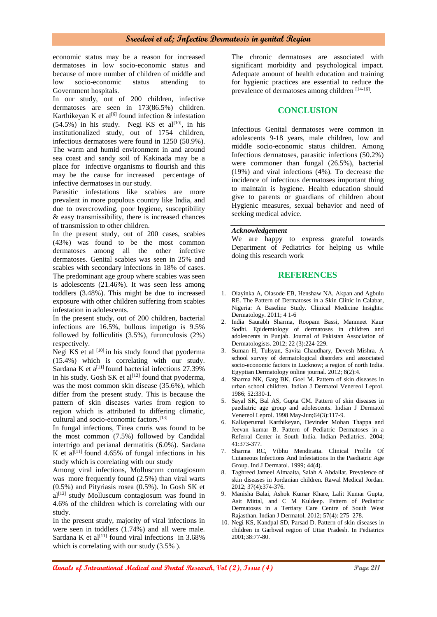economic status may be a reason for increased dermatoses in low socio-economic status and because of more number of children of middle and low socio-economic status attending to Government hospitals.

In our study, out of 200 children, infective dermatoses are seen in 173(86.5%) children. Karthikeyan K et al<sup>[6]</sup> found infection  $\&$  infestation  $(54.5\%)$  in his study. Negi KS et al<sup>[10]</sup>, in his institutionalized study, out of 1754 children, infectious dermatoses were found in 1250 (50.9%). The warm and humid environment in and around sea coast and sandy soil of Kakinada may be a place for infective organisms to flourish and this may be the cause for increased percentage of infective dermatoses in our study.

Parasitic infestations like scabies are more prevalent in more populous country like India, and due to overcrowding, poor hygiene, susceptibility & easy transmissibility, there is increased chances of transmission to other children.

In the present study, out of 200 cases, scabies (43%) was found to be the most common dermatoses among all the other infective dermatoses. Genital scabies was seen in 25% and scabies with secondary infections in 18% of cases. The predominant age group where scabies was seen is adolescents (21.46%). It was seen less among toddlers (3.48%). This might be due to increased exposure with other children suffering from scabies infestation in adolescents.

In the present study, out of 200 children, bacterial infections are 16.5%, bullous impetigo is 9.5% followed by folliculitis (3.5%), furunculosis (2%) respectively.

Negi KS et al  $[10]$  in his study found that pyoderma (15.4%) which is correlating with our study. Sardana K et a<sup>[11]</sup> found bacterial infections  $27.39\%$ in his study. Gosh SK et al<sup>[12]</sup> found that pyoderma, was the most common skin disease (35.6%), which differ from the present study. This is because the pattern of skin diseases varies from region to region which is attributed to differing climatic, cultural and socio-economic factors.[13]

In fungal infections, Tinea cruris was found to be the most common (7.5%) followed by Candidal intertrigo and perianal dermatitis (6.0%). Sardana K et al<sup>[11]</sup> found 4.65% of fungal infections in his study which is correlating with our study

Among viral infections, Molluscum contagiosum was more frequently found (2.5%) than viral warts (0.5%) and Pityriasis rosea (0.5%). In Gosh SK et  $al^{[12]}$  study Molluscum contagiosum was found in 4.6% of the children which is correlating with our study.

In the present study, majority of viral infections in were seen in toddlers  $(1.74%)$  and all were male. Sardana K et al<sup>[11]</sup> found viral infections in  $3.68\%$ which is correlating with our study (3.5% ).

The chronic dermatoses are associated with significant morbidity and psychological impact. Adequate amount of health education and training for hygienic practices are essential to reduce the prevalence of dermatoses among children [14-16].

## **CONCLUSION**

Infectious Genital dermatoses were common in adolescents 9-18 years, male children, low and middle socio-economic status children. Among Infectious dermatoses, parasitic infections (50.2%) were commoner than fungal (26.5%), bacterial (19%) and viral infections (4%). To decrease the incidence of infectious dermatoses important thing to maintain is hygiene. Health education should give to parents or guardians of children about Hygienic measures, sexual behavior and need of seeking medical advice.

#### *Acknowledgement*

We are happy to express grateful towards Department of Pediatrics for helping us while doing this research work

#### **REFERENCES**

- 1. Olayinka A, Olasode EB, Henshaw NA, Akpan and Agbulu RE. The Pattern of Dermatoses in a Skin Clinic in Calabar, Nigeria: A Baseline Study. Clinical Medicine Insights: Dermatology. 2011; 4 1-6
- 2. India Saurabh Sharma, Roopam Bassi, Manmeet Kaur Sodhi. Epidemiology of dermatoses in children and adolescents in Punjab. Journal of Pakistan Association of Dermatologists. 2012; 22 (3):224-229.
- 3. Suman H, Tulsyan, Savita Chaudhary, Devesh Mishra. A school survey of dermatological disorders and associated socio-economic factors in Lucknow; a region of north India. Egyptian Dermatology online journal. 2012; 8(2):4.
- 4. Sharma NK, Garg BK, Goel M. Pattern of skin diseases in urban school children. Indian J Dermatol Venereol Leprol.  $1986: 52.330-1$
- 5. Sayal SK, Bal AS, Gupta CM. Pattern of skin diseases in paediatric age group and adolescents. Indian J Dermatol Venereol Leprol. 1998 May-Jun;64(3):117-9.
- 6. Kaliaperumal Karthikeyan, Devinder Mohan Thappa and Jeevan kumar B. Pattern of Pediatric Dermatoses in a Referral Center in South India. Indian Pediatrics. 2004; 41:373-377.
- 7. Sharma RC, Vibhu Mendiratta. Clinical Profile Of Cutaneous Infections And Infestations In the Paediatric Age Group. Ind J Dermatol. 1999; 44(4).
- 8. Taghreed Jameel Almaaita, Salah A Abdallat. Prevalence of skin diseases in Jordanian children. Rawal Medical Jordan. 2012; 37(4):374-376.
- 9. Manisha Balai, Ashok Kumar Khare, Lalit Kumar Gupta, Asit Mittal, and C M Kuldeep. Pattern of Pediatric Dermatoses in a Tertiary Care Centre of South West Rajasthan. Indian J Dermatol. 2012; 57(4): 275–278.
- 10. Negi KS, Kandpal SD, Parsad D. Pattern of skin diseases in children in Garhwal region of Uttar Pradesh. In Pediatrics 2001;38:77-80.